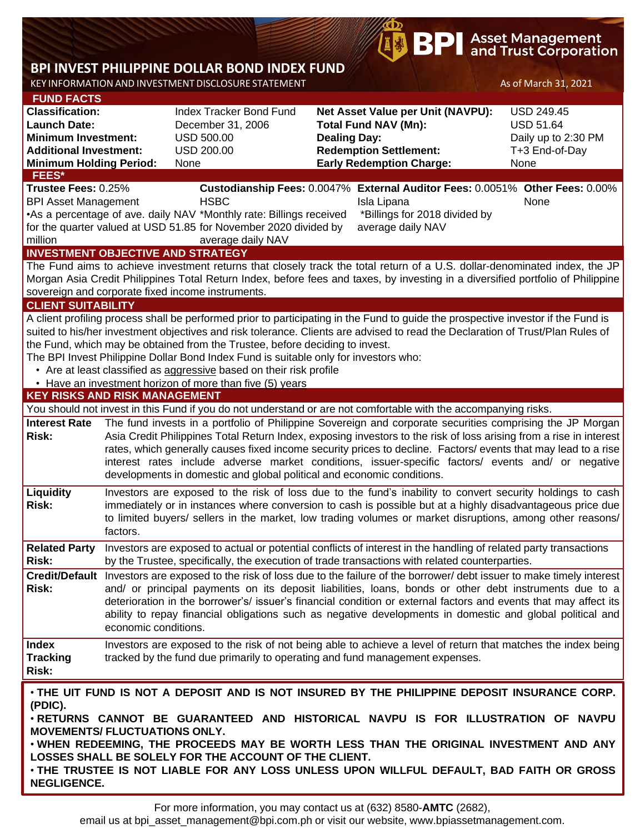# **BPI** Asset Management<br>and Trust Corporation

## **BPI INVEST PHILIPPINE DOLLAR BOND INDEX FUND**

KEY INFORMATION AND INVESTMENT DISCLOSURE STATEMENT AND ASSET AS OF March 31, 2021

**Risk:**

million

**Risk:**

**Risk:**

**Risk:**

**Index** 

**Risk:**

**KEY RISKS AND RISK MANAGEMENT**  You should not invest in this Fund if you do not understand or are not comfortable with the accompanying risks. **Interest Rate**  The fund invests in a portfolio of Philippine Sovereign and corporate securities comprising the JP Morgan Asia Credit Philippines Total Return Index, exposing investors to the risk of loss arising from a rise in interest rates, which generally causes fixed income security prices to decline. Factors/ events that may lead to a rise interest rates include adverse market conditions, issuer-specific factors/ events and/ or negative developments in domestic and global political and economic conditions. **Liquidity**  Investors are exposed to the risk of loss due to the fund's inability to convert security holdings to cash immediately or in instances where conversion to cash is possible but at a highly disadvantageous price due to limited buyers/ sellers in the market, low trading volumes or market disruptions, among other reasons/ factors. **Related Party**  Investors are exposed to actual or potential conflicts of interest in the handling of related party transactions by the Trustee, specifically, the execution of trade transactions with related counterparties. **Credit/Default**  Investors are exposed to the risk of loss due to the failure of the borrower/ debt issuer to make timely interest and/ or principal payments on its deposit liabilities, loans, bonds or other debt instruments due to a deterioration in the borrower's/ issuer's financial condition or external factors and events that may affect its ability to repay financial obligations such as negative developments in domestic and global political and economic conditions. **Tracking**  Investors are exposed to the risk of not being able to achieve a level of return that matches the index being tracked by the fund due primarily to operating and fund management expenses. **INVESTMENT OBJECTIVE AND STRATEGY** The Fund aims to achieve investment returns that closely track the total return of a U.S. dollar-denominated index, the JP Morgan Asia Credit Philippines Total Return Index, before fees and taxes, by investing in a diversified portfolio of Philippine sovereign and corporate fixed income instruments. **CLIENT SUITABILITY** A client profiling process shall be performed prior to participating in the Fund to guide the prospective investor if the Fund is suited to his/her investment objectives and risk tolerance. Clients are advised to read the Declaration of Trust/Plan Rules of the Fund, which may be obtained from the Trustee, before deciding to invest. The BPI Invest Philippine Dollar Bond Index Fund is suitable only for investors who: • Are at least classified as aggressive based on their risk profile • Have an investment horizon of more than five (5) years • **THE UIT FUND IS NOT A DEPOSIT AND IS NOT INSURED BY THE PHILIPPINE DEPOSIT INSURANCE CORP. (PDIC).** • **RETURNS CANNOT BE GUARANTEED AND HISTORICAL NAVPU IS FOR ILLUSTRATION OF NAVPU FEES\* Trustee Fees:** 0.25% **Custodianship Fees:** 0.0047% **External Auditor Fees:** 0.0051% **Other Fees:** 0.00% BPI Asset Management **HSBC Isla Lipana** Isla Lipana None •As a percentage of ave. daily NAV \*Monthly rate: Billings received for the quarter valued at USD 51.85 for November 2020 divided by average daily NAV \*Billings for 2018 divided by average daily NAV **FUND FACTS Classification:** Index Tracker Bond Fund **Net Asset Value per Unit (NAVPU):** USD 249.45 **Launch Date:** December 31, 2006 **Total Fund NAV (Mn):** USD 51.64 **Minimum Investment:** USD 500.00 **Dealing Day:** Dealing Day: Daily up to 2:30 PM **Additional Investment:** USD 200.00 **Redemption Settlement:** T+3 End-of-Day **Minimum Holding Period:** None **Early Redemption Charge:** None

**MOVEMENTS/ FLUCTUATIONS ONLY.**

• **WHEN REDEEMING, THE PROCEEDS MAY BE WORTH LESS THAN THE ORIGINAL INVESTMENT AND ANY LOSSES SHALL BE SOLELY FOR THE ACCOUNT OF THE CLIENT.**

• **THE TRUSTEE IS NOT LIABLE FOR ANY LOSS UNLESS UPON WILLFUL DEFAULT, BAD FAITH OR GROSS NEGLIGENCE.**

email us at bpi asset management@bpi.com.ph or visit our website, www.bpiassetmanagement.com.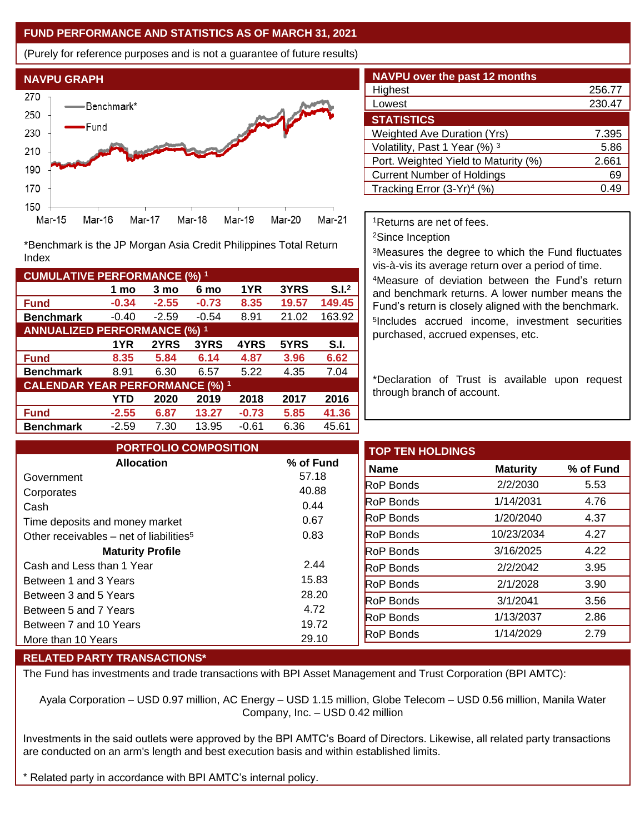#### **FUND PERFORMANCE AND STATISTICS AS OF MARCH 31, 2021**

(Purely for reference purposes and is not a guarantee of future results)



**Fund -0.34 -2.55 -0.73 8.35 19.57 149.45 Benchmark** -0.40 -2.59 -0.54 8.91 21.02 163.92

\*Benchmark is the JP Morgan Asia Credit Philippines Total Return

**Fund 8.35 5.84 6.14 4.87 3.96 6.62 Benchmark** 8.91 6.30 6.57 5.22 4.35 7.04

**Fund -2.55 6.87 13.27 -0.73 5.85 41.36 Benchmark** -2.59 7.30 13.95 -0.61 6.36 45.61

**1 mo 3 mo 6 mo 1YR 3YRS S.I.<sup>2</sup>**

**1YR 2YRS 3YRS 4YRS 5YRS S.I.**

**YTD 2020 2019 2018 2017 2016**

| <b>NAVPU over the past 12 months</b>   |        |
|----------------------------------------|--------|
| Highest                                | 256.77 |
| Lowest                                 | 230.47 |
| <b>STATISTICS</b>                      |        |
| <b>Weighted Ave Duration (Yrs)</b>     | 7.395  |
| Volatility, Past 1 Year (%) 3          | 5.86   |
| Port. Weighted Yield to Maturity (%)   | 2.661  |
| <b>Current Number of Holdings</b>      | 69     |
| Tracking Error (3-Yr) <sup>4</sup> (%) | 0.49   |

<sup>1</sup>Returns are net of fees.

<sup>2</sup>Since Inception

<sup>3</sup>Measures the degree to which the Fund fluctuates vis-à-vis its average return over a period of time.

<sup>4</sup>Measure of deviation between the Fund's return and benchmark returns. A lower number means the Fund's return is closely aligned with the benchmark. 5 Includes accrued income, investment securities purchased, accrued expenses, etc.

\*Declaration of Trust is available upon request through branch of account.

| <b>PORTFOLIO COMPOSITION</b>                        |               | <b>TOP TEN HOLDINGS</b> |                 |  |
|-----------------------------------------------------|---------------|-------------------------|-----------------|--|
| <b>Allocation</b>                                   | % of Fund     | <b>Name</b>             | <b>Maturity</b> |  |
| Government                                          | 57.18         | <b>RoP Bonds</b>        | 2/2/2030        |  |
| Corporates<br>Cash                                  | 40.88<br>0.44 | <b>RoP Bonds</b>        | 1/14/2031       |  |
| Time deposits and money market                      | 0.67          | <b>RoP Bonds</b>        | 1/20/2040       |  |
| Other receivables – net of liabilities <sup>5</sup> | 0.83          | <b>RoP Bonds</b>        | 10/23/2034      |  |
| <b>Maturity Profile</b>                             |               | <b>RoP Bonds</b>        | 3/16/2025       |  |
| Cash and Less than 1 Year                           | 2.44          | <b>RoP Bonds</b>        | 2/2/2042        |  |
| Between 1 and 3 Years                               | 15.83         | <b>RoP Bonds</b>        | 2/1/2028        |  |
| Between 3 and 5 Years                               | 28.20         | <b>RoP Bonds</b>        | 3/1/2041        |  |
| Between 5 and 7 Years                               | 4.72          | <b>RoP Bonds</b>        | 1/13/2037       |  |
| Between 7 and 10 Years                              | 19.72         | <b>RoP Bonds</b>        | 1/14/2029       |  |
| More than 10 Years                                  | 29.10         |                         |                 |  |

#### **RELATED PARTY TRANSACTIONS\***

**CUMULATIVE PERFORMANCE (%) <sup>1</sup>**

Index

**ANNUALIZED PERFORMANCE (%) <sup>1</sup>**

**CALENDAR YEAR PERFORMANCE (%) <sup>1</sup>**

The Fund has investments and trade transactions with BPI Asset Management and Trust Corporation (BPI AMTC):

Ayala Corporation – USD 0.97 million, AC Energy – USD 1.15 million, Globe Telecom – USD 0.56 million, Manila Water Company, Inc. – USD 0.42 million

Investments in the said outlets were approved by the BPI AMTC's Board of Directors. Likewise, all related party transactions are conducted on an arm's length and best execution basis and within established limits.

Related party in accordance with BPI AMTC's internal policy.